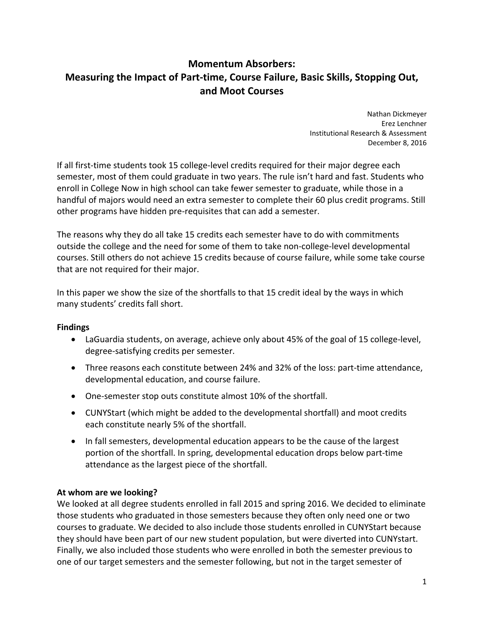# **Momentum Absorbers: Measuring the Impact of Part‐time, Course Failure, Basic Skills, Stopping Out, and Moot Courses**

 Nathan Dickmeyer Erez Lenchner Institutional Research & Assessment December 8, 2016

 If all first‐time students took 15 college‐level credits required for their major degree each semester, most of them could graduate in two years. The rule isn't hard and fast. Students who enroll in College Now in high school can take fewer semester to graduate, while those in a handful of majors would need an extra semester to complete their 60 plus credit programs. Still other programs have hidden pre‐requisites that can add a semester.

 The reasons why they do all take 15 credits each semester have to do with commitments outside the college and the need for some of them to take non‐college‐level developmental courses. Still others do not achieve 15 credits because of course failure, while some take course that are not required for their major.

 In this paper we show the size of the shortfalls to that 15 credit ideal by the ways in which many students' credits fall short.

## **Findings**

- LaGuardia students, on average, achieve only about 45% of the goal of 15 college‐level, degree‐satisfying credits per semester.
- Three reasons each constitute between 24% and 32% of the loss: part‐time attendance, developmental education, and course failure.
- One-semester stop outs constitute almost 10% of the shortfall.
- CUNYStart (which might be added to the developmental shortfall) and moot credits each constitute nearly 5% of the shortfall.
- In fall semesters, developmental education appears to be the cause of the largest portion of the shortfall. In spring, developmental education drops below part‐time attendance as the largest piece of the shortfall.

## **At whom are we looking?**

 We looked at all degree students enrolled in fall 2015 and spring 2016. We decided to eliminate those students who graduated in those semesters because they often only need one or two courses to graduate. We decided to also include those students enrolled in CUNYStart because they should have been part of our new student population, but were diverted into CUNYstart. Finally, we also included those students who were enrolled in both the semester previous to one of our target semesters and the semester following, but not in the target semester of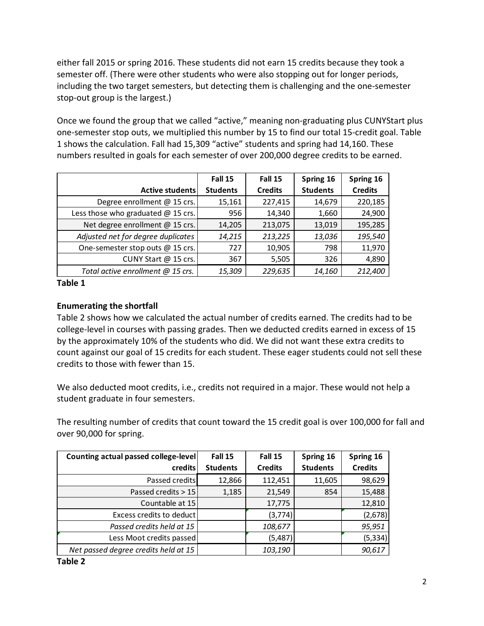either fall 2015 or spring 2016. These students did not earn 15 credits because they took a semester off. (There were other students who were also stopping out for longer periods, including the two target semesters, but detecting them is challenging and the one‐semester stop‐out group is the largest.)

 Once we found the group that we called "active," meaning non‐graduating plus CUNYStart plus one‐semester stop outs, we multiplied this number by 15 to find our total 15‐credit goal. Table 1 shows the calculation. Fall had 15,309 "active" students and spring had 14,160. These numbers resulted in goals for each semester of over 200,000 degree credits to be earned.

|                                      | Fall 15         | Fall 15        | Spring 16       | Spring 16      |
|--------------------------------------|-----------------|----------------|-----------------|----------------|
| Active students                      | <b>Students</b> | <b>Credits</b> | <b>Students</b> | <b>Credits</b> |
| Degree enrollment @ 15 crs.          | 15,161          | 227,415        | 14,679          | 220,185        |
| Less those who graduated $@$ 15 crs. | 956             | 14,340         | 1,660           | 24,900         |
| Net degree enrollment @ 15 crs.      | 14,205          | 213,075        | 13,019          | 195,285        |
| Adjusted net for degree duplicates   | 14,215          | 213,225        | 13,036          | 195,540        |
| One-semester stop outs @ 15 crs.     | 727             | 10,905         | 798             | 11,970         |
| CUNY Start @ 15 crs.                 | 367             | 5,505          | 326             | 4,890          |
| Total active enrollment @ 15 crs.    | 15,309          | 229,635        | 14,160          | 212,400        |

 **Table 1**

## **Enumerating the shortfall**

 Table 2 shows how we calculated the actual number of credits earned. The credits had to be college‐level in courses with passing grades. Then we deducted credits earned in excess of 15 by the approximately 10% of the students who did. We did not want these extra credits to count against our goal of 15 credits for each student. These eager students could not sell these credits to those with fewer than 15.

 We also deducted moot credits, i.e., credits not required in a major. These would not help a student graduate in four semesters.

 The resulting number of credits that count toward the 15 credit goal is over 100,000 for fall and over 90,000 for spring.

| Counting actual passed college-level | Fall 15         | Fall 15        | Spring 16       | Spring 16      |
|--------------------------------------|-----------------|----------------|-----------------|----------------|
| credits                              | <b>Students</b> | <b>Credits</b> | <b>Students</b> | <b>Credits</b> |
| Passed credits                       | 12,866          | 112,451        | 11,605          | 98,629         |
| Passed credits $> 15$                | 1,185           | 21,549         | 854             | 15,488         |
| Countable at 15                      |                 | 17,775         |                 | 12,810         |
| Excess credits to deduct             |                 | (3,774)        |                 | (2,678)        |
| Passed credits held at 15            |                 | 108,677        |                 | 95,951         |
| Less Moot credits passed             |                 | (5,487)        |                 | (5, 334)       |
| Net passed degree credits held at 15 |                 | 103,190        |                 | 90,617         |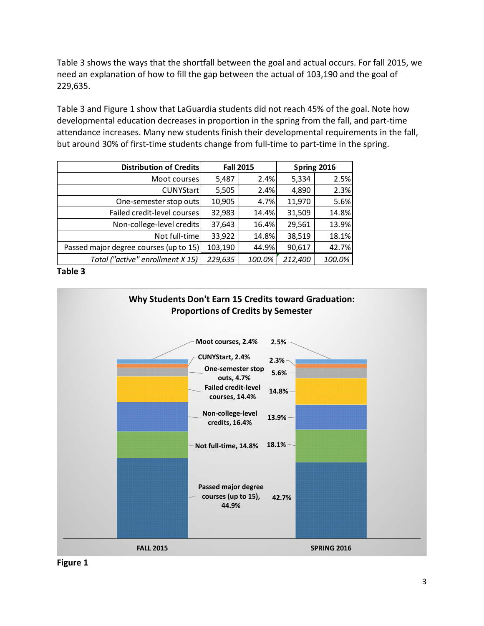Table 3 shows the ways that the shortfall between the goal and actual occurs. For fall 2015, we need an explanation of how to fill the gap between the actual of 103,190 and the goal of 229,635.

 Table 3 and Figure 1 show that LaGuardia students did not reach 45% of the goal. Note how developmental education decreases in proportion in the spring from the fall, and part‐time attendance increases. Many new students finish their developmental requirements in the fall, but around 30% of first‐time students change from full‐time to part‐time in the spring.

| Distribution of Credits                | <b>Fall 2015</b> |        | Spring 2016 |        |
|----------------------------------------|------------------|--------|-------------|--------|
| Moot courses                           | 5,487            | 2.4%   | 5,334       | 2.5%   |
| CUNYStart                              | 5,505            | 2.4%   | 4,890       | 2.3%   |
| One-semester stop outs                 | 10,905           | 4.7%   | 11,970      | 5.6%   |
| Failed credit-level courses            | 32,983           | 14.4%  | 31,509      | 14.8%  |
| Non-college-level credits              | 37,643           | 16.4%  | 29,561      | 13.9%  |
| Not full-time                          | 33,922           | 14.8%  | 38,519      | 18.1%  |
| Passed major degree courses (up to 15) | 103,190          | 44.9%  | 90,617      | 42.7%  |
| Total ("active" enrollment X 15)       | 229,635          | 100.0% | 212,400     | 100.0% |

 **Table 3**



 **Figure 1**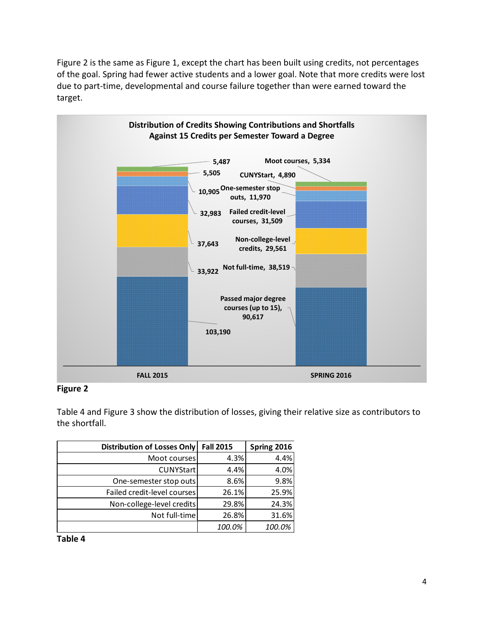Figure 2 is the same as Figure 1, except the chart has been built using credits, not percentages of the goal. Spring had fewer active students and a lower goal. Note that more credits were lost due to part‐time, developmental and course failure together than were earned toward the target.



## **Figure 2**

 Table 4 and Figure 3 show the distribution of losses, giving their relative size as contributors to the shortfall.

| Distribution of Losses Only | <b>Fall 2015</b> | Spring 2016 |
|-----------------------------|------------------|-------------|
| Moot courses                | 4.3%             | 4.4%        |
| CUNYStart                   | 4.4%             | 4.0%        |
| One-semester stop outs      | 8.6%             | 9.8%        |
| Failed credit-level courses | 26.1%            | 25.9%       |
| Non-college-level credits   | 29.8%            | 24.3%       |
| Not full-time               | 26.8%            | 31.6%       |
|                             | 100.0%           | 100.0%      |

 **Table 4**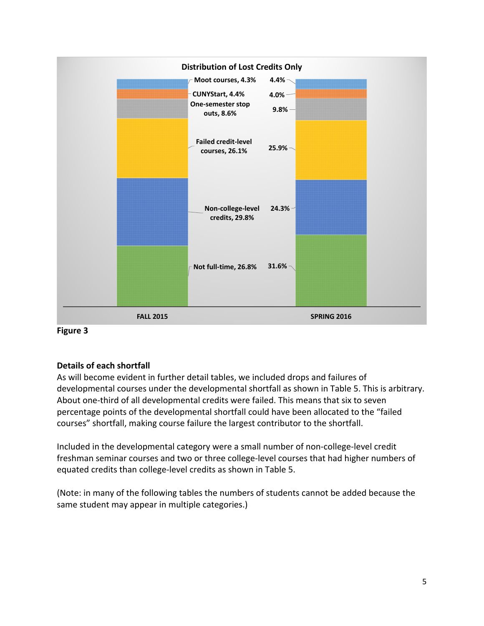



## **Details of each shortfall**

 As will become evident in further detail tables, we included drops and failures of developmental courses under the developmental shortfall as shown in Table 5. This is arbitrary. About one‐third of all developmental credits were failed. This means that six to seven percentage points of the developmental shortfall could have been allocated to the "failed courses" shortfall, making course failure the largest contributor to the shortfall.

 Included in the developmental category were a small number of non‐college‐level credit freshman seminar courses and two or three college‐level courses that had higher numbers of equated credits than college‐level credits as shown in Table 5.

 (Note: in many of the following tables the numbers of students cannot be added because the same student may appear in multiple categories.)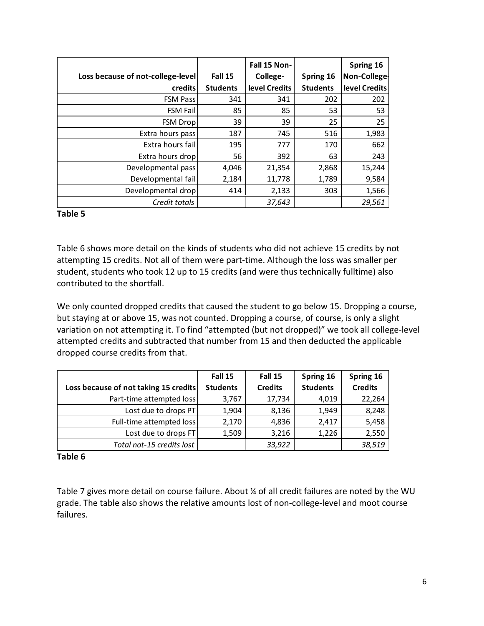| Loss because of not-college-level | Fall 15         | Fall 15 Non-<br>College- | Spring 16       | Spring 16<br>Non-College- |
|-----------------------------------|-----------------|--------------------------|-----------------|---------------------------|
| credits                           | <b>Students</b> | level Credits            | <b>Students</b> | level Credits             |
| <b>FSM Pass</b>                   | 341             | 341                      | 202             | 202                       |
| <b>FSM Fail</b>                   | 85              | 85                       | 53              | 53                        |
| <b>FSM Drop</b>                   | 39              | 39                       | 25              | 25                        |
| Extra hours pass                  | 187             | 745                      | 516             | 1,983                     |
| Extra hours fail                  | 195             | 777                      | 170             | 662                       |
| Extra hours drop                  | 56              | 392                      | 63              | 243                       |
| Developmental pass                | 4,046           | 21,354                   | 2,868           | 15,244                    |
| Developmental fail                | 2,184           | 11,778                   | 1,789           | 9,584                     |
| Developmental drop                | 414             | 2,133                    | 303             | 1,566                     |
| Credit totals                     |                 | 37,643                   |                 | 29,561                    |

## **Table 5**

 Table 6 shows more detail on the kinds of students who did not achieve 15 credits by not attempting 15 credits. Not all of them were part‐time. Although the loss was smaller per student, students who took 12 up to 15 credits (and were thus technically fulltime) also contributed to the shortfall.

 We only counted dropped credits that caused the student to go below 15. Dropping a course, but staying at or above 15, was not counted. Dropping a course, of course, is only a slight variation on not attempting it. To find "attempted (but not dropped)" we took all college‐level attempted credits and subtracted that number from 15 and then deducted the applicable dropped course credits from that.

|                                       | Fall 15         | Fall 15        | Spring 16       | Spring 16      |
|---------------------------------------|-----------------|----------------|-----------------|----------------|
| Loss because of not taking 15 credits | <b>Students</b> | <b>Credits</b> | <b>Students</b> | <b>Credits</b> |
| Part-time attempted loss              | 3,767           | 17,734         | 4,019           | 22,264         |
| Lost due to drops PT                  | 1,904           | 8,136          | 1,949           | 8,248          |
| Full-time attempted loss              | 2,170           | 4,836          | 2,417           | 5,458          |
| Lost due to drops FT                  | 1,509           | 3,216          | 1,226           | 2,550          |
| Total not-15 credits lost             |                 | 33,922         |                 | 38,519         |

## **Table 6**

 Table 7 gives more detail on course failure. About ¼ of all credit failures are noted by the WU grade. The table also shows the relative amounts lost of non‐college‐level and moot course failures.